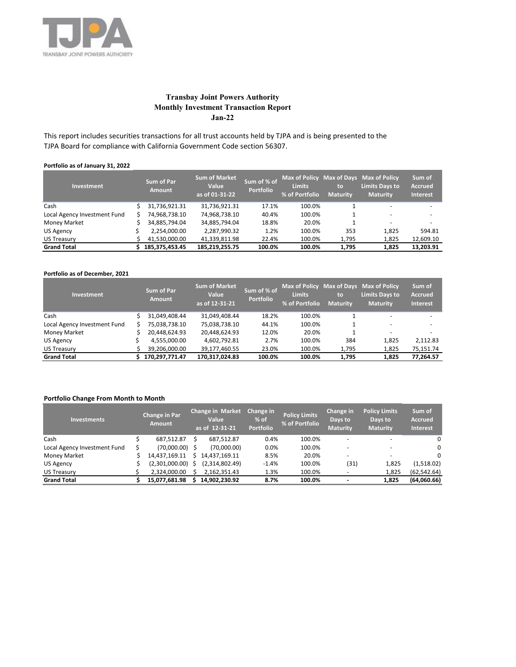

# **Transbay Joint Powers Authority Monthly Investment Transaction Report Jan-22**

This report includes securities transactions for all trust accounts held by TJPA and is being presented to the TJPA Board for compliance with California Government Code section 56307.

## **Portfolio as of January 31, 2022**

| <b>Investment</b>            |  | <b>Sum of Par</b><br><b>Amount</b> | <b>Sum of Market</b><br><b>Value</b><br>as of 01-31-22 | Sum of % of<br><b>Portfolio</b> | <b>Limits</b><br>% of Portfolio | to<br><b>Maturity</b> | Max of Policy Max of Days Max of Policy<br><b>Limits Days to</b><br><b>Maturity</b> | Sum of<br><b>Accrued</b><br><b>Interest</b> |
|------------------------------|--|------------------------------------|--------------------------------------------------------|---------------------------------|---------------------------------|-----------------------|-------------------------------------------------------------------------------------|---------------------------------------------|
| Cash                         |  | 31,736,921.31                      | 31,736,921.31                                          | 17.1%                           | 100.0%                          |                       | -                                                                                   |                                             |
| Local Agency Investment Fund |  | 74,968,738.10                      | 74,968,738.10                                          | 40.4%                           | 100.0%                          |                       | $\overline{\phantom{0}}$                                                            |                                             |
| <b>Money Market</b>          |  | 34,885,794.04                      | 34,885,794.04                                          | 18.8%                           | 20.0%                           |                       | -                                                                                   | -                                           |
| <b>US Agency</b>             |  | 2,254,000.00                       | 2,287,990.32                                           | 1.2%                            | 100.0%                          | 353                   | 1,825                                                                               | 594.81                                      |
| <b>US Treasury</b>           |  | 41,530,000.00                      | 41,339,811.98                                          | 22.4%                           | 100.0%                          | 1,795                 | 1,825                                                                               | 12,609.10                                   |
| <b>Grand Total</b>           |  | 185.375.453.45                     | 185.219.255.75                                         | 100.0%                          | 100.0%                          | 1,795                 | 1.825                                                                               | 13,203.91                                   |

### **Portfolio as of December, 2021**

| <b>Investment</b>            |  | <b>Sum of Par</b><br><b>Amount</b> | <b>Sum of Market</b><br><b>Value</b><br>as of 12-31-21 | Sum of % of<br><b>Portfolio</b> | <b>Limits</b><br>% of Portfolio | to<br><b>Maturity</b> | Max of Policy Max of Days Max of Policy<br><b>Limits Days to</b><br><b>Maturity</b> | Sum of<br><b>Accrued</b><br><b>Interest</b> |  |  |
|------------------------------|--|------------------------------------|--------------------------------------------------------|---------------------------------|---------------------------------|-----------------------|-------------------------------------------------------------------------------------|---------------------------------------------|--|--|
| Cash                         |  | 31.049.408.44                      | 31.049.408.44                                          | 18.2%                           | 100.0%                          |                       | -                                                                                   | -                                           |  |  |
| Local Agency Investment Fund |  | 75,038,738.10                      | 75,038,738.10                                          | 44.1%                           | 100.0%                          |                       | ۰                                                                                   |                                             |  |  |
| <b>Money Market</b>          |  | 20,448,624.93                      | 20.448.624.93                                          | 12.0%                           | 20.0%                           |                       | ۰                                                                                   |                                             |  |  |
| <b>US Agency</b>             |  | 4,555,000.00                       | 4.602.792.81                                           | 2.7%                            | 100.0%                          | 384                   | 1,825                                                                               | 2.112.83                                    |  |  |
| <b>US Treasury</b>           |  | 39,206,000.00                      | 39,177,460.55                                          | 23.0%                           | 100.0%                          | 1,795                 | 1,825                                                                               | 75,151.74                                   |  |  |
| <b>Grand Total</b>           |  | 170.297.771.47                     | 170.317.024.83                                         | 100.0%                          | 100.0%                          | 1.795                 | 1.825                                                                               | 77,264.57                                   |  |  |

## **Portfolio Change From Month to Month**

| <b>Investments</b>           |  | <b>Change in Par</b><br><b>Amount</b> |    | <b>Change in Market</b><br><b>Value</b><br>as of 12-31-21 | Change in<br>$%$ of<br><b>Portfolio</b> | <b>Policy Limits</b><br>% of Portfolio | Change in<br>Days to<br><b>Maturity</b> | <b>Policy Limits</b><br>Days to<br><b>Maturity</b> | Sum of<br><b>Accrued</b><br><b>Interest</b> |
|------------------------------|--|---------------------------------------|----|-----------------------------------------------------------|-----------------------------------------|----------------------------------------|-----------------------------------------|----------------------------------------------------|---------------------------------------------|
| Cash                         |  | 687,512.87                            | S  | 687,512.87                                                | 0.4%                                    | 100.0%                                 |                                         | -                                                  | 0                                           |
| Local Agency Investment Fund |  | (70,000.00)                           |    | (70,000.00)                                               | 0.0%                                    | 100.0%                                 |                                         |                                                    | 0                                           |
| <b>Money Market</b>          |  | 14.437.169.11                         |    | 14.437.169.11                                             | 8.5%                                    | 20.0%                                  |                                         |                                                    | 0                                           |
| <b>US Agency</b>             |  | (2,301,000.00)                        | S. | (2,314,802.49)                                            | $-1.4%$                                 | 100.0%                                 | (31)                                    | 1,825                                              | (1,518.02)                                  |
| <b>US Treasury</b>           |  | 2,324,000.00                          |    | 2,162,351.43                                              | 1.3%                                    | 100.0%                                 |                                         | 1,825                                              | (62, 542.64)                                |
| <b>Grand Total</b>           |  | 15,077,681.98                         |    | 14.902.230.92                                             | 8.7%                                    | 100.0%                                 |                                         | 1,825                                              | (64,060.66)                                 |